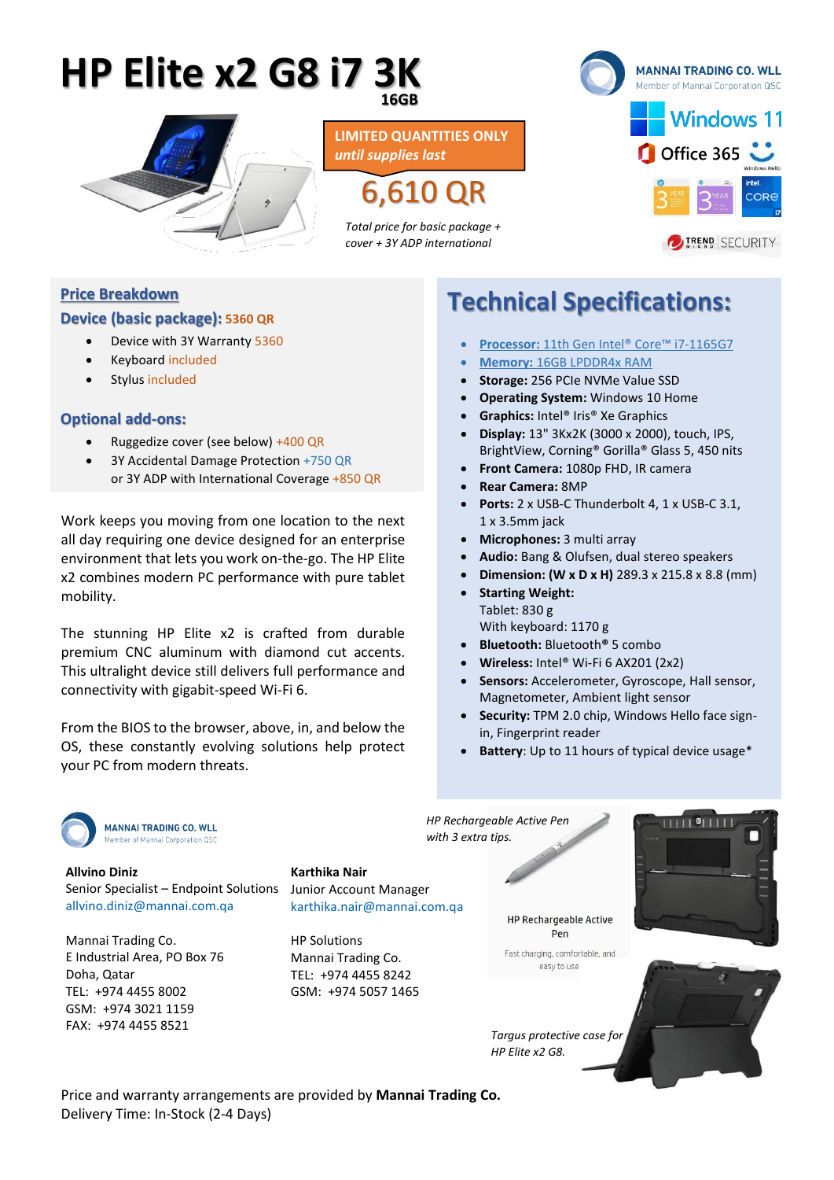## **HP Elite x2 G8 i7 3K 16GB**



6,610 QR **LIMITED QUANTITIES ONLY** *until supplies last*

*Total price for basic package + cover + 3Y ADP international*



### **Price Breakdown**

#### **Device (basic package): 5360 QR**

- Device with 3Y Warranty 5360
- Keyboard included
- Stylus included

#### **Optional add-ons:**

- Ruggedize cover (see below) +400 QR
- 3Y Accidental Damage Protection +750 QR or 3Y ADP with International Coverage +850 QR

Work keeps you moving from one location to the next all day requiring one device designed for an enterprise environment that lets you work on-the-go. The HP Elite x2 combines modern PC performance with pure tablet mobility.

The stunning HP Elite x2 is crafted from durable premium CNC aluminum with diamond cut accents. This ultralight device still delivers full performance and connectivity with gigabit-speed Wi-Fi 6.

From the BIOS to the browser, above, in, and below the OS, these constantly evolving solutions help protect your PC from modern threats.

# **Technical Specifications:**

- **Processor:** 11th Gen Intel® Core™ i7-1165G7
- **Memory:** 16GB LPDDR4x RAM
- **Storage:** 256 PCIe NVMe Value SSD
- **Operating System:** Windows 10 Home
- **Graphics:** Intel® Iris® Xe Graphics
- **Display:** 13" 3Kx2K (3000 x 2000), touch, IPS, BrightView, Corning® Gorilla® Glass 5, 450 nits
- **Front Camera:** 1080p FHD, IR camera
- **Rear Camera:** 8MP
- **Ports:** 2 x USB-C Thunderbolt 4, 1 x USB-C 3.1, 1 x 3.5mm jack
- **Microphones:** 3 multi array
- **Audio:** Bang & Olufsen, dual stereo speakers
- **Dimension: (W x D x H)** 289.3 x 215.8 x 8.8 (mm)
- **Starting Weight:** Tablet: 830 g With keyboard: 1170 g
- **Bluetooth:** Bluetooth**®** 5 combo
- **Wireless:** Intel® Wi-Fi 6 AX201 (2x2)
- **Sensors:** Accelerometer, Gyroscope, Hall sensor, Magnetometer, Ambient light sensor
- **Security:** TPM 2.0 chip, Windows Hello face signin, Fingerprint reader
- **Battery**: Up to 11 hours of typical device usage\*

**MANNAI TRADING CO. WILL** of Mannai Corporation QS

**Allvino Diniz** Senior Specialist – Endpoint Solutions [allvino.diniz@mannai.com.qa](mailto:allvino.diniz@mannai.com.qa)

Delivery Time: In-Stock (2-4 Days)

Mannai Trading Co. E Industrial Area, PO Box 76 Doha, Qatar TEL: +974 4455 8002 GSM: +974 3021 1159 FAX: +974 4455 8521

**Karthika Nair** Junior Account Manager [karthika.nair@mannai.com.qa](mailto:karthika.nair@mannai.com.qa)

HP Solutions Mannai Trading Co. TEL: +974 4455 8242 GSM: +974 5057 1465

Price and warranty arrangements are provided by **Mannai Trading Co.**

*with 3 extra tips.*

*HP Rechargeable Active Pen*

**HP Rechargeable Active** Pen

Fast charging, comfortable, and easy to use

*Targus protective case for HP Elite x2 G8.*